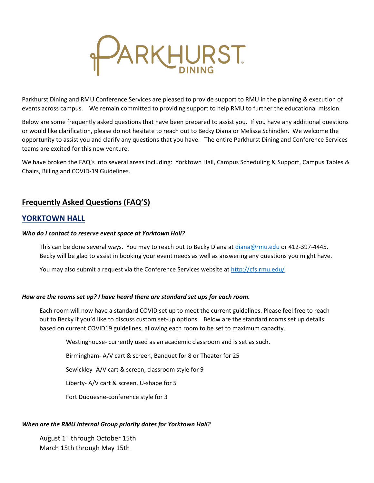

Parkhurst Dining and RMU Conference Services are pleased to provide support to RMU in the planning & execution of events across campus. We remain committed to providing support to help RMU to further the educational mission.

Below are some frequently asked questions that have been prepared to assist you. If you have any additional questions or would like clarification, please do not hesitate to reach out to Becky Diana or Melissa Schindler. We welcome the opportunity to assist you and clarify any questions that you have. The entire Parkhurst Dining and Conference Services teams are excited for this new venture.

We have broken the FAQ's into several areas including: Yorktown Hall, Campus Scheduling & Support, Campus Tables & Chairs, Billing and COVID-19 Guidelines.

# **Frequently Asked Questions (FAQ'S)**

# **YORKTOWN HALL**

## *Who do I contact to reserve event space at Yorktown Hall?*

This can be done several ways. You may to reach out to Becky Diana at *[diana@rmu.edu](mailto:diana@rmu.edu)* or 412-397-4445. Becky will be glad to assist in booking your event needs as well as answering any questions you might have.

You may also submit a request via the Conference Services website at <http://cfs.rmu.edu/>

### *How are the rooms set up? I have heard there are standard set ups for each room.*

Each room will now have a standard COVID set up to meet the current guidelines. Please feel free to reach out to Becky if you'd like to discuss custom set-up options. Below are the standard rooms set up details based on current COVID19 guidelines, allowing each room to be set to maximum capacity.

Westinghouse- currently used as an academic classroom and is set as such.

Birmingham- A/V cart & screen, Banquet for 8 or Theater for 25

Sewickley- A/V cart & screen, classroom style for 9

Liberty- A/V cart & screen, U-shape for 5

Fort Duquesne-conference style for 3

### *When are the RMU Internal Group priority dates for Yorktown Hall?*

August 1st through October 15th March 15th through May 15th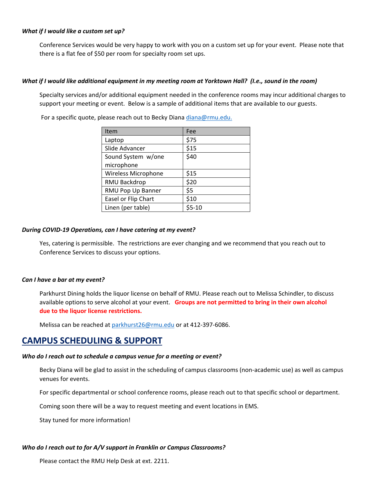#### *What if I would like a custom set up?*

Conference Services would be very happy to work with you on a custom set up for your event. Please note that there is a flat fee of \$50 per room for specialty room set ups.

#### *What if I would like additional equipment in my meeting room at Yorktown Hall? (I.e., sound in the room)*

Specialty services and/or additional equipment needed in the conference rooms may incur additional charges to support your meeting or event. Below is a sample of additional items that are available to our guests.

For a specific quote, please reach out to Becky Diana [diana@rmu.edu.](mailto:diana@rmu.edu)

| Item                | Fee       |
|---------------------|-----------|
| Laptop              | \$75      |
| Slide Advancer      | \$15      |
| Sound System w/one  | \$40      |
| microphone          |           |
| Wireless Microphone | \$15      |
| RMU Backdrop        | \$20      |
| RMU Pop Up Banner   | \$5       |
| Easel or Flip Chart | \$10      |
| Linen (per table)   | $$5 - 10$ |

#### *During COVID-19 Operations, can I have catering at my event?*

Yes, catering is permissible. The restrictions are ever changing and we recommend that you reach out to Conference Services to discuss your options.

#### *Can I have a bar at my event?*

Parkhurst Dining holds the liquor license on behalf of RMU. Please reach out to Melissa Schindler, to discuss available options to serve alcohol at your event. **Groups are not permitted to bring in their own alcohol due to the liquor license restrictions.**

Melissa can be reached at [parkhurst26@rmu.edu](mailto:parkhurst26@rmu.edu) or at 412-397-6086.

# **CAMPUS SCHEDULING & SUPPORT**

#### *Who do I reach out to schedule a campus venue for a meeting or event?*

Becky Diana will be glad to assist in the scheduling of campus classrooms (non-academic use) as well as campus venues for events.

For specific departmental or school conference rooms, please reach out to that specific school or department.

Coming soon there will be a way to request meeting and event locations in EMS.

Stay tuned for more information!

### *Who do I reach out to for A/V support in Franklin or Campus Classrooms?*

Please contact the RMU Help Desk at ext. 2211.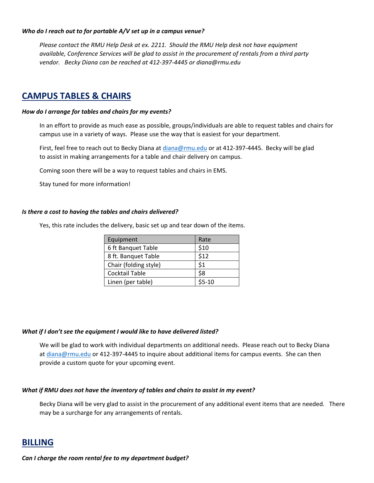#### *Who do I reach out to for portable A/V set up in a campus venue?*

*Please contact the RMU Help Desk at ex. 2211. Should the RMU Help desk not have equipment available, Conference Services will be glad to assist in the procurement of rentals from a third party vendor. Becky Diana can be reached at 412-397-4445 or diana@rmu.edu*

# **CAMPUS TABLES & CHAIRS**

### *How do I arrange for tables and chairs for my events?*

In an effort to provide as much ease as possible, groups/individuals are able to request tables and chairs for campus use in a variety of ways. Please use the way that is easiest for your department.

First, feel free to reach out to Becky Diana at [diana@rmu.edu](mailto:diana@rmu.edu) or at 412-397-4445. Becky will be glad to assist in making arrangements for a table and chair delivery on campus.

Coming soon there will be a way to request tables and chairs in EMS.

Stay tuned for more information!

#### *Is there a cost to having the tables and chairs delivered?*

Yes, this rate includes the delivery, basic set up and tear down of the items.

| Equipment             | Rate    |
|-----------------------|---------|
| 6 ft Banquet Table    | \$10    |
| 8 ft. Banquet Table   | \$12    |
| Chair (folding style) | \$1     |
| Cocktail Table        | \$8     |
| Linen (per table)     | $$5-10$ |

### *What if I don't see the equipment I would like to have delivered listed?*

We will be glad to work with individual departments on additional needs. Please reach out to Becky Diana at [diana@rmu.edu](mailto:diana@rmu.edu) or 412-397-4445 to inquire about additional items for campus events. She can then provide a custom quote for your upcoming event.

### *What if RMU does not have the inventory of tables and chairs to assist in my event?*

Becky Diana will be very glad to assist in the procurement of any additional event items that are needed. There may be a surcharge for any arrangements of rentals.

# **BILLING**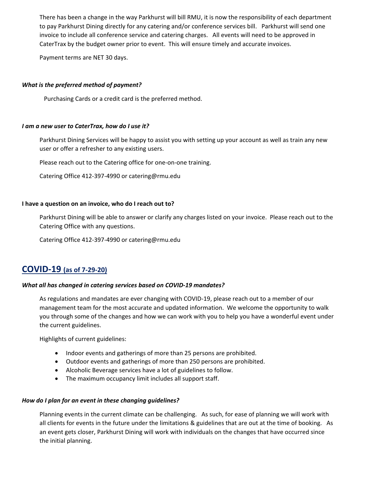There has been a change in the way Parkhurst will bill RMU, it is now the responsibility of each department to pay Parkhurst Dining directly for any catering and/or conference services bill. Parkhurst will send one invoice to include all conference service and catering charges. All events will need to be approved in CaterTrax by the budget owner prior to event. This will ensure timely and accurate invoices.

Payment terms are NET 30 days.

## *What is the preferred method of payment?*

Purchasing Cards or a credit card is the preferred method.

### *I am a new user to CaterTrax, how do I use it?*

Parkhurst Dining Services will be happy to assist you with setting up your account as well as train any new user or offer a refresher to any existing users.

Please reach out to the Catering office for one-on-one training.

Catering Office 412-397-4990 or catering@rmu.edu

### **I have a question on an invoice, who do I reach out to?**

Parkhurst Dining will be able to answer or clarify any charges listed on your invoice. Please reach out to the Catering Office with any questions.

Catering Office 412-397-4990 or catering@rmu.edu

# **COVID-19 (as of 7-29-20)**

### *What all has changed in catering services based on COVID-19 mandates?*

As regulations and mandates are ever changing with COVID-19, please reach out to a member of our management team for the most accurate and updated information. We welcome the opportunity to walk you through some of the changes and how we can work with you to help you have a wonderful event under the current guidelines.

Highlights of current guidelines:

- Indoor events and gatherings of more than 25 persons are prohibited.
- Outdoor events and gatherings of more than 250 persons are prohibited.
- Alcoholic Beverage services have a lot of guidelines to follow.
- The maximum occupancy limit includes all support staff.

### *How do I plan for an event in these changing guidelines?*

Planning events in the current climate can be challenging. As such, for ease of planning we will work with all clients for events in the future under the limitations & guidelines that are out at the time of booking. As an event gets closer, Parkhurst Dining will work with individuals on the changes that have occurred since the initial planning.